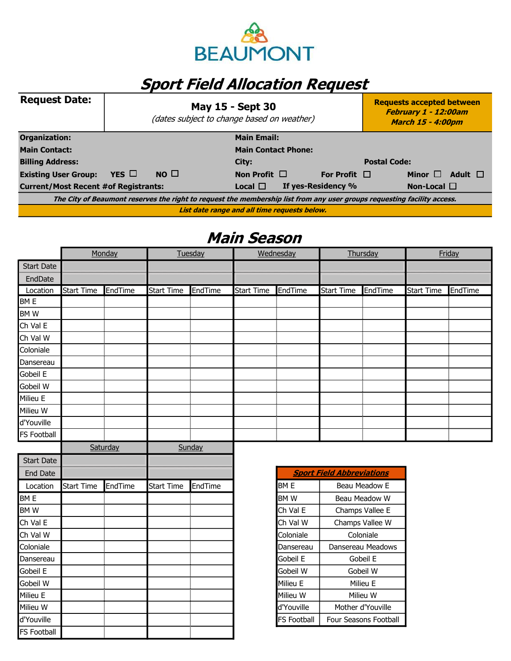

## Sport Field Allocation Request

| <b>Request Date:</b>                                                                                                    | <b>May 15 - Sept 30</b><br>(dates subject to change based on weather) |             |                    |  |                    |                     | <b>Requests accepted between</b><br>February 1 - 12:00am<br><b>March 15 - 4:00pm</b> |              |
|-------------------------------------------------------------------------------------------------------------------------|-----------------------------------------------------------------------|-------------|--------------------|--|--------------------|---------------------|--------------------------------------------------------------------------------------|--------------|
| Organization:                                                                                                           |                                                                       |             | <b>Main Email:</b> |  |                    |                     |                                                                                      |              |
| <b>Main Contact:</b>                                                                                                    | <b>Main Contact Phone:</b>                                            |             |                    |  |                    |                     |                                                                                      |              |
| <b>Billing Address:</b>                                                                                                 |                                                                       |             | City:              |  |                    | <b>Postal Code:</b> |                                                                                      |              |
| <b>Existing User Group:</b>                                                                                             | YES $\Box$                                                            | $NO$ $\Box$ | Non Profit $\Box$  |  | For Profit $\Box$  |                     | Minor $\Box$                                                                         | Adult $\Box$ |
| <b>Current/Most Recent #of Registrants:</b><br>Local $\Box$                                                             |                                                                       |             |                    |  | If yes-Residency % |                     | Non-Local $\square$                                                                  |              |
| The City of Beaumont reserves the right to request the membership list from any user groups requesting facility access. |                                                                       |             |                    |  |                    |                     |                                                                                      |              |
| List date range and all time requests below.                                                                            |                                                                       |             |                    |  |                    |                     |                                                                                      |              |

## Main Season

|                   | Monday            |         | Tuesday           |         | Wednesday         |         | Thursday                         |         | Friday            |         |
|-------------------|-------------------|---------|-------------------|---------|-------------------|---------|----------------------------------|---------|-------------------|---------|
| <b>Start Date</b> |                   |         |                   |         |                   |         |                                  |         |                   |         |
| EndDate           |                   |         |                   |         |                   |         |                                  |         |                   |         |
| Location          | <b>Start Time</b> | EndTime | <b>Start Time</b> | EndTime | <b>Start Time</b> | EndTime | <b>Start Time</b>                | EndTime | <b>Start Time</b> | EndTime |
| BM E              |                   |         |                   |         |                   |         |                                  |         |                   |         |
| BMW               |                   |         |                   |         |                   |         |                                  |         |                   |         |
| Ch Val E          |                   |         |                   |         |                   |         |                                  |         |                   |         |
| Ch Val W          |                   |         |                   |         |                   |         |                                  |         |                   |         |
| Coloniale         |                   |         |                   |         |                   |         |                                  |         |                   |         |
| Dansereau         |                   |         |                   |         |                   |         |                                  |         |                   |         |
| Gobeil E          |                   |         |                   |         |                   |         |                                  |         |                   |         |
| Gobeil W          |                   |         |                   |         |                   |         |                                  |         |                   |         |
| Milieu E          |                   |         |                   |         |                   |         |                                  |         |                   |         |
| Milieu W          |                   |         |                   |         |                   |         |                                  |         |                   |         |
| d'Youville        |                   |         |                   |         |                   |         |                                  |         |                   |         |
| FS Football       |                   |         |                   |         |                   |         |                                  |         |                   |         |
|                   | Saturday          |         | Sunday            |         |                   |         |                                  |         |                   |         |
| <b>Start Date</b> |                   |         |                   |         |                   |         |                                  |         |                   |         |
| <b>End Date</b>   |                   |         |                   |         |                   |         | <b>Sport Field Abbreviations</b> |         |                   |         |
|                   |                   |         |                   |         |                   |         |                                  |         |                   |         |

| ourc bacc          |            |         |                   |         |                    |
|--------------------|------------|---------|-------------------|---------|--------------------|
| End Date           |            |         |                   |         | <b>Sport</b>       |
| Location           | Start Time | EndTime | <b>Start Time</b> | EndTime | BM <sub>E</sub>    |
| <b>BME</b>         |            |         |                   |         | BM W               |
| <b>BMW</b>         |            |         |                   |         | Ch Val E           |
| Ch Val E           |            |         |                   |         | Ch Val W           |
| Ch Val W           |            |         |                   |         | Coloniale          |
| Coloniale          |            |         |                   |         | Dansereau          |
| Dansereau          |            |         |                   |         | Gobeil E           |
| Gobeil E           |            |         |                   |         | Gobeil W           |
| Gobeil W           |            |         |                   |         | Milieu E           |
| Milieu E           |            |         |                   |         | Milieu W           |
| Milieu W           |            |         |                   |         | d'Youville         |
| d'Youville         |            |         |                   |         | <b>FS Football</b> |
| <b>FS Football</b> |            |         |                   |         |                    |

| <b>Sport Field Abbreviations</b> |                              |  |  |  |  |
|----------------------------------|------------------------------|--|--|--|--|
| BM E                             | Beau Meadow E                |  |  |  |  |
| BM W                             | Beau Meadow W                |  |  |  |  |
| Ch Val E                         | Champs Vallee E              |  |  |  |  |
| Ch Val W                         | Champs Vallee W              |  |  |  |  |
| Coloniale                        | Coloniale                    |  |  |  |  |
| Dansereau                        | Dansereau Meadows            |  |  |  |  |
| Gobeil E                         | Gobeil E                     |  |  |  |  |
| Gobeil W                         | Gobeil W                     |  |  |  |  |
| Milieu E                         | Milieu E                     |  |  |  |  |
| Milieu W                         | Milieu W                     |  |  |  |  |
| d'Youville                       | Mother d'Youville            |  |  |  |  |
| <b>FS Football</b>               | <b>Four Seasons Football</b> |  |  |  |  |